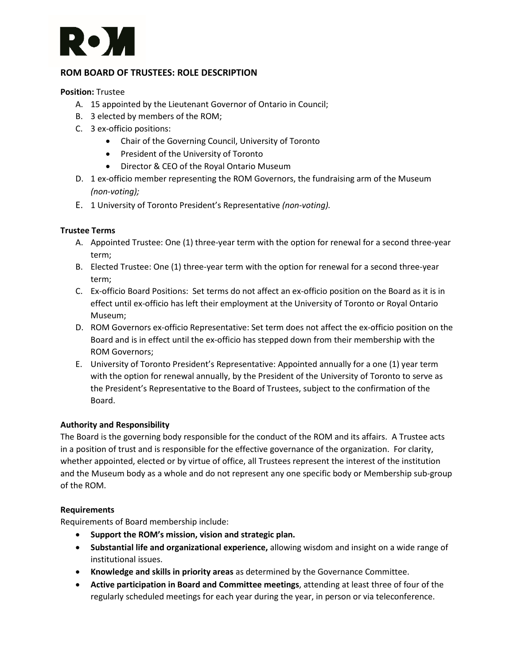# D M.

### **ROM BOARD OF TRUSTEES: ROLE DESCRIPTION**

#### **Position:** Trustee

- A. 15 appointed by the Lieutenant Governor of Ontario in Council;
- B. 3 elected by members of the ROM;
- C. 3 ex-officio positions:
	- Chair of the Governing Council, University of Toronto
	- President of the University of Toronto
	- Director & CEO of the Royal Ontario Museum
- D. 1 ex-officio member representing the ROM Governors, the fundraising arm of the Museum *(non-voting);*
- E. 1 University of Toronto President's Representative *(non-voting).*

### **Trustee Terms**

- A. Appointed Trustee: One (1) three-year term with the option for renewal for a second three-year term;
- B. Elected Trustee: One (1) three-year term with the option for renewal for a second three-year term;
- C. Ex-officio Board Positions: Set terms do not affect an ex-officio position on the Board as it is in effect until ex-officio has left their employment at the University of Toronto or Royal Ontario Museum;
- D. ROM Governors ex-officio Representative: Set term does not affect the ex-officio position on the Board and is in effect until the ex-officio has stepped down from their membership with the ROM Governors;
- E. University of Toronto President's Representative: Appointed annually for a one (1) year term with the option for renewal annually, by the President of the University of Toronto to serve as the President's Representative to the Board of Trustees, subject to the confirmation of the Board.

### **Authority and Responsibility**

The Board is the governing body responsible for the conduct of the ROM and its affairs. A Trustee acts in a position of trust and is responsible for the effective governance of the organization. For clarity, whether appointed, elected or by virtue of office, all Trustees represent the interest of the institution and the Museum body as a whole and do not represent any one specific body or Membership sub-group of the ROM.

#### **Requirements**

Requirements of Board membership include:

- **Support the ROM's mission, vision and strategic plan.**
- **Substantial life and organizational experience,** allowing wisdom and insight on a wide range of institutional issues.
- **Knowledge and skills in priority areas** as determined by the Governance Committee.
- **Active participation in Board and Committee meetings**, attending at least three of four of the regularly scheduled meetings for each year during the year, in person or via teleconference.